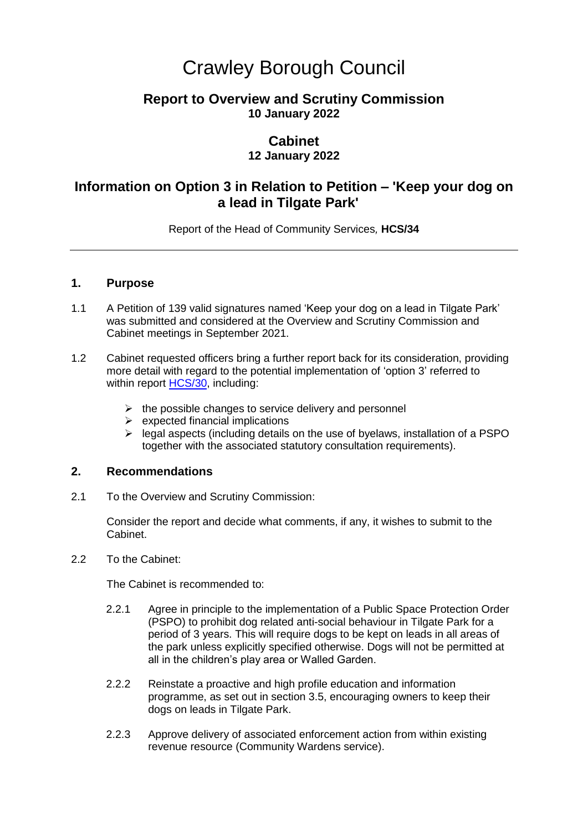# Crawley Borough Council

## **Report to Overview and Scrutiny Commission 10 January 2022**

## **Cabinet**

## **12 January 2022**

## **Information on Option 3 in Relation to Petition – 'Keep your dog on a lead in Tilgate Park'**

Report of the Head of Community Services*,* **HCS/34**

#### **1. Purpose**

- 1.1 A Petition of 139 valid signatures named 'Keep your dog on a lead in Tilgate Park' was submitted and considered at the Overview and Scrutiny Commission and Cabinet meetings in September 2021.
- 1.2 Cabinet requested officers bring a further report back for its consideration, providing more detail with regard to the potential implementation of 'option 3' referred to within report [HCS/30,](https://democracy.crawley.gov.uk/documents/s18978/Petition%20Keep%20your%20dog%20on%20a%20lead%20in%20Tilgate%20Park.pdf) including:
	- $\triangleright$  the possible changes to service delivery and personnel
	- $\triangleright$  expected financial implications
	- $\triangleright$  legal aspects (including details on the use of byelaws, installation of a PSPO together with the associated statutory consultation requirements).

#### **2. Recommendations**

2.1 To the Overview and Scrutiny Commission:

Consider the report and decide what comments, if any, it wishes to submit to the Cabinet.

2.2 To the Cabinet:

The Cabinet is recommended to:

- 2.2.1 Agree in principle to the implementation of a Public Space Protection Order (PSPO) to prohibit dog related anti-social behaviour in Tilgate Park for a period of 3 years. This will require dogs to be kept on leads in all areas of the park unless explicitly specified otherwise. Dogs will not be permitted at all in the children's play area or Walled Garden.
- 2.2.2 Reinstate a proactive and high profile education and information programme, as set out in section 3.5, encouraging owners to keep their dogs on leads in Tilgate Park.
- 2.2.3 Approve delivery of associated enforcement action from within existing revenue resource (Community Wardens service).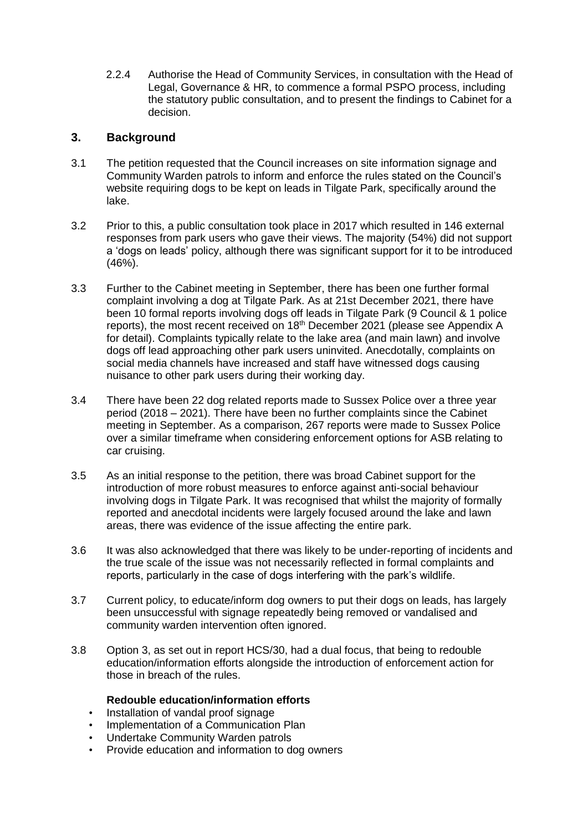2.2.4 Authorise the Head of Community Services, in consultation with the Head of Legal, Governance & HR, to commence a formal PSPO process, including the statutory public consultation, and to present the findings to Cabinet for a decision.

## **3. Background**

- 3.1 The petition requested that the Council increases on site information signage and Community Warden patrols to inform and enforce the rules stated on the Council's website requiring dogs to be kept on leads in Tilgate Park, specifically around the lake.
- 3.2 Prior to this, a public consultation took place in 2017 which resulted in 146 external responses from park users who gave their views. The majority (54%) did not support a 'dogs on leads' policy, although there was significant support for it to be introduced (46%).
- 3.3 Further to the Cabinet meeting in September, there has been one further formal complaint involving a dog at Tilgate Park. As at 21st December 2021, there have been 10 formal reports involving dogs off leads in Tilgate Park (9 Council & 1 police reports), the most recent received on 18th December 2021 (please see Appendix A for detail). Complaints typically relate to the lake area (and main lawn) and involve dogs off lead approaching other park users uninvited. Anecdotally, complaints on social media channels have increased and staff have witnessed dogs causing nuisance to other park users during their working day.
- 3.4 There have been 22 dog related reports made to Sussex Police over a three year period (2018 – 2021). There have been no further complaints since the Cabinet meeting in September. As a comparison, 267 reports were made to Sussex Police over a similar timeframe when considering enforcement options for ASB relating to car cruising.
- 3.5 As an initial response to the petition, there was broad Cabinet support for the introduction of more robust measures to enforce against anti-social behaviour involving dogs in Tilgate Park. It was recognised that whilst the majority of formally reported and anecdotal incidents were largely focused around the lake and lawn areas, there was evidence of the issue affecting the entire park.
- 3.6 It was also acknowledged that there was likely to be under-reporting of incidents and the true scale of the issue was not necessarily reflected in formal complaints and reports, particularly in the case of dogs interfering with the park's wildlife.
- 3.7 Current policy, to educate/inform dog owners to put their dogs on leads, has largely been unsuccessful with signage repeatedly being removed or vandalised and community warden intervention often ignored.
- 3.8 Option 3, as set out in report HCS/30, had a dual focus, that being to redouble education/information efforts alongside the introduction of enforcement action for those in breach of the rules.

## **Redouble education/information efforts**

- Installation of vandal proof signage
- Implementation of a Communication Plan
- Undertake Community Warden patrols
- Provide education and information to dog owners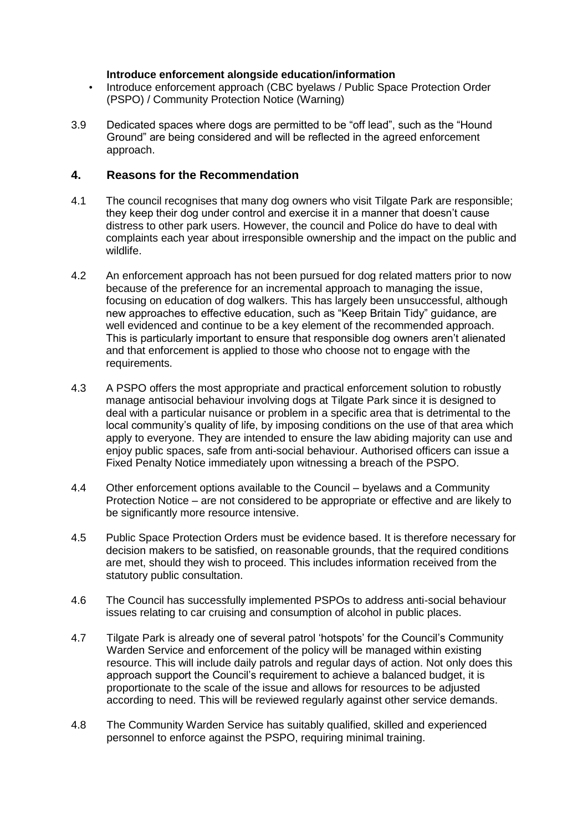#### **Introduce enforcement alongside education/information**

- Introduce enforcement approach (CBC byelaws / Public Space Protection Order (PSPO) / Community Protection Notice (Warning)
- 3.9 Dedicated spaces where dogs are permitted to be "off lead", such as the "Hound Ground" are being considered and will be reflected in the agreed enforcement approach.

#### **4. Reasons for the Recommendation**

- 4.1 The council recognises that many dog owners who visit Tilgate Park are responsible; they keep their dog under control and exercise it in a manner that doesn't cause distress to other park users. However, the council and Police do have to deal with complaints each year about irresponsible ownership and the impact on the public and wildlife.
- 4.2 An enforcement approach has not been pursued for dog related matters prior to now because of the preference for an incremental approach to managing the issue, focusing on education of dog walkers. This has largely been unsuccessful, although new approaches to effective education, such as "Keep Britain Tidy" guidance, are well evidenced and continue to be a key element of the recommended approach. This is particularly important to ensure that responsible dog owners aren't alienated and that enforcement is applied to those who choose not to engage with the requirements.
- 4.3 A PSPO offers the most appropriate and practical enforcement solution to robustly manage antisocial behaviour involving dogs at Tilgate Park since it is designed to deal with a particular nuisance or problem in a specific area that is detrimental to the local community's quality of life, by imposing conditions on the use of that area which apply to everyone. They are intended to ensure the law abiding majority can use and enjoy public spaces, safe from anti-social behaviour. Authorised officers can issue a Fixed Penalty Notice immediately upon witnessing a breach of the PSPO.
- 4.4 Other enforcement options available to the Council byelaws and a Community Protection Notice – are not considered to be appropriate or effective and are likely to be significantly more resource intensive.
- 4.5 Public Space Protection Orders must be evidence based. It is therefore necessary for decision makers to be satisfied, on reasonable grounds, that the required conditions are met, should they wish to proceed. This includes information received from the statutory public consultation.
- 4.6 The Council has successfully implemented PSPOs to address anti-social behaviour issues relating to car cruising and consumption of alcohol in public places.
- 4.7 Tilgate Park is already one of several patrol 'hotspots' for the Council's Community Warden Service and enforcement of the policy will be managed within existing resource. This will include daily patrols and regular days of action. Not only does this approach support the Council's requirement to achieve a balanced budget, it is proportionate to the scale of the issue and allows for resources to be adjusted according to need. This will be reviewed regularly against other service demands.
- 4.8 The Community Warden Service has suitably qualified, skilled and experienced personnel to enforce against the PSPO, requiring minimal training.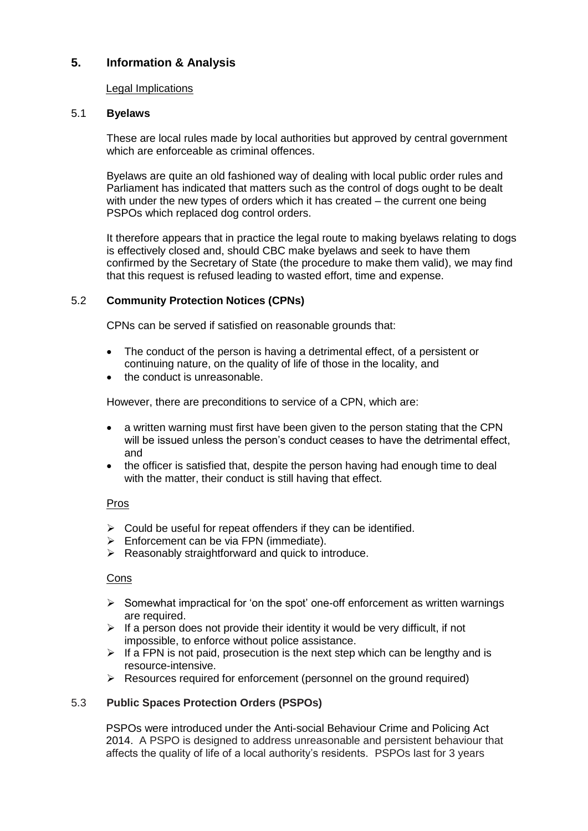## **5. Information & Analysis**

#### Legal Implications

#### 5.1 **Byelaws**

These are local rules made by local authorities but approved by central government which are enforceable as criminal offences.

Byelaws are quite an old fashioned way of dealing with local public order rules and Parliament has indicated that matters such as the control of dogs ought to be dealt with under the new types of orders which it has created – the current one being PSPOs which replaced dog control orders.

It therefore appears that in practice the legal route to making byelaws relating to dogs is effectively closed and, should CBC make byelaws and seek to have them confirmed by the Secretary of State (the procedure to make them valid), we may find that this request is refused leading to wasted effort, time and expense.

#### 5.2 **Community Protection Notices (CPNs)**

CPNs can be served if satisfied on reasonable grounds that:

- The conduct of the person is having a detrimental effect, of a persistent or continuing nature, on the quality of life of those in the locality, and
- the conduct is unreasonable.

However, there are preconditions to service of a CPN, which are:

- a written warning must first have been given to the person stating that the CPN will be issued unless the person's conduct ceases to have the detrimental effect, and
- the officer is satisfied that, despite the person having had enough time to deal with the matter, their conduct is still having that effect.

#### Pros

- $\triangleright$  Could be useful for repeat offenders if they can be identified.
- $\triangleright$  Enforcement can be via FPN (immediate).
- $\triangleright$  Reasonably straightforward and quick to introduce.

#### Cons

- $\triangleright$  Somewhat impractical for 'on the spot' one-off enforcement as written warnings are required.
- $\triangleright$  If a person does not provide their identity it would be very difficult, if not impossible, to enforce without police assistance.
- $\triangleright$  If a FPN is not paid, prosecution is the next step which can be lengthy and is resource-intensive.
- $\triangleright$  Resources required for enforcement (personnel on the ground required)

#### 5.3 **Public Spaces Protection Orders (PSPOs)**

PSPOs were introduced under the Anti-social Behaviour Crime and Policing Act 2014. A PSPO is designed to address unreasonable and persistent behaviour that affects the quality of life of a local authority's residents. PSPOs last for 3 years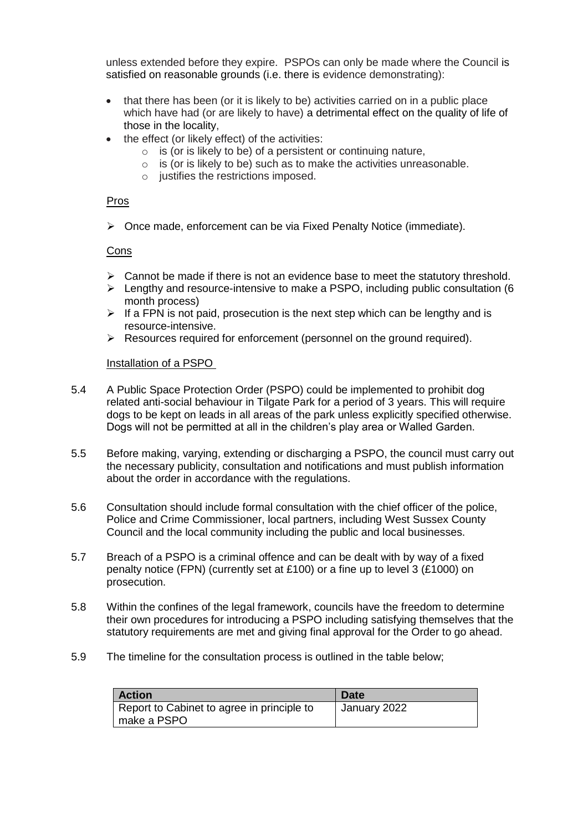unless extended before they expire. PSPOs can only be made where the Council is satisfied on reasonable grounds (i.e. there is evidence demonstrating):

- that there has been (or it is likely to be) activities carried on in a public place which have had (or are likely to have) a detrimental effect on the quality of life of those in the locality,
- the effect (or likely effect) of the activities:
	- $\circ$  is (or is likely to be) of a persistent or continuing nature,
	- $\circ$  is (or is likely to be) such as to make the activities unreasonable.
	- o justifies the restrictions imposed.

#### Pros

Once made, enforcement can be via Fixed Penalty Notice (immediate).

#### Cons

- $\triangleright$  Cannot be made if there is not an evidence base to meet the statutory threshold.
- $\triangleright$  Lengthy and resource-intensive to make a PSPO, including public consultation (6) month process)
- $\triangleright$  If a FPN is not paid, prosecution is the next step which can be lengthy and is resource-intensive.
- $\triangleright$  Resources required for enforcement (personnel on the ground required).

#### Installation of a PSPO

- 5.4 A Public Space Protection Order (PSPO) could be implemented to prohibit dog related anti-social behaviour in Tilgate Park for a period of 3 years. This will require dogs to be kept on leads in all areas of the park unless explicitly specified otherwise. Dogs will not be permitted at all in the children's play area or Walled Garden.
- 5.5 Before making, varying, extending or discharging a PSPO, the council must carry out the necessary publicity, consultation and notifications and must publish information about the order in accordance with the regulations.
- 5.6 Consultation should include formal consultation with the chief officer of the police, Police and Crime Commissioner, local partners, including West Sussex County Council and the local community including the public and local businesses.
- 5.7 Breach of a PSPO is a criminal offence and can be dealt with by way of a fixed penalty notice (FPN) (currently set at £100) or a fine up to level 3 (£1000) on prosecution.
- 5.8 Within the confines of the legal framework, councils have the freedom to determine their own procedures for introducing a PSPO including satisfying themselves that the statutory requirements are met and giving final approval for the Order to go ahead.
- 5.9 The timeline for the consultation process is outlined in the table below;

| <b>Action</b>                              | <b>Date</b>  |
|--------------------------------------------|--------------|
| Report to Cabinet to agree in principle to | January 2022 |
| make a PSPO                                |              |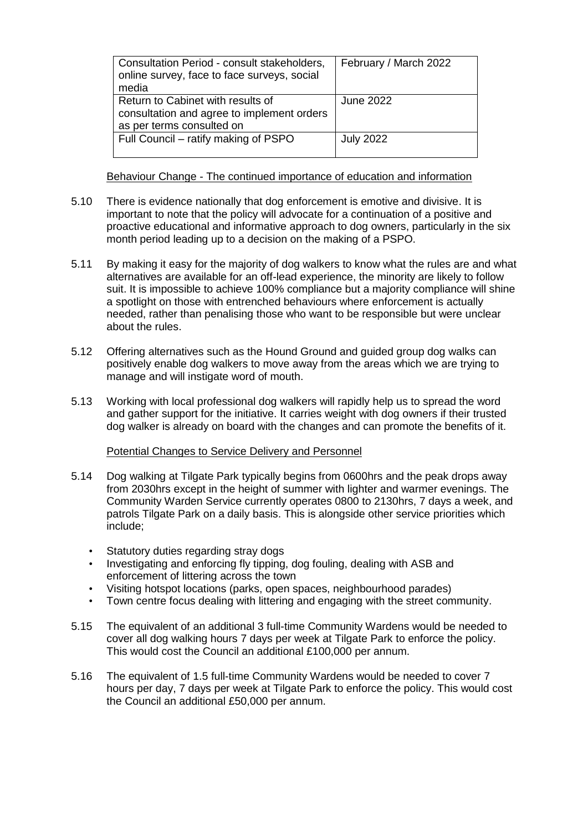| Consultation Period - consult stakeholders,<br>online survey, face to face surveys, social<br>media          | February / March 2022 |
|--------------------------------------------------------------------------------------------------------------|-----------------------|
| Return to Cabinet with results of<br>consultation and agree to implement orders<br>as per terms consulted on | June 2022             |
| Full Council – ratify making of PSPO                                                                         | <b>July 2022</b>      |

#### Behaviour Change - The continued importance of education and information

- 5.10 There is evidence nationally that dog enforcement is emotive and divisive. It is important to note that the policy will advocate for a continuation of a positive and proactive educational and informative approach to dog owners, particularly in the six month period leading up to a decision on the making of a PSPO.
- 5.11 By making it easy for the majority of dog walkers to know what the rules are and what alternatives are available for an off-lead experience, the minority are likely to follow suit. It is impossible to achieve 100% compliance but a majority compliance will shine a spotlight on those with entrenched behaviours where enforcement is actually needed, rather than penalising those who want to be responsible but were unclear about the rules.
- 5.12 Offering alternatives such as the Hound Ground and guided group dog walks can positively enable dog walkers to move away from the areas which we are trying to manage and will instigate word of mouth.
- 5.13 Working with local professional dog walkers will rapidly help us to spread the word and gather support for the initiative. It carries weight with dog owners if their trusted dog walker is already on board with the changes and can promote the benefits of it.

#### Potential Changes to Service Delivery and Personnel

- 5.14 Dog walking at Tilgate Park typically begins from 0600hrs and the peak drops away from 2030hrs except in the height of summer with lighter and warmer evenings. The Community Warden Service currently operates 0800 to 2130hrs, 7 days a week, and patrols Tilgate Park on a daily basis. This is alongside other service priorities which include;
	- Statutory duties regarding stray dogs
	- Investigating and enforcing fly tipping, dog fouling, dealing with ASB and enforcement of littering across the town
	- Visiting hotspot locations (parks, open spaces, neighbourhood parades)
	- Town centre focus dealing with littering and engaging with the street community.
- 5.15 The equivalent of an additional 3 full-time Community Wardens would be needed to cover all dog walking hours 7 days per week at Tilgate Park to enforce the policy. This would cost the Council an additional £100,000 per annum.
- 5.16 The equivalent of 1.5 full-time Community Wardens would be needed to cover 7 hours per day, 7 days per week at Tilgate Park to enforce the policy. This would cost the Council an additional £50,000 per annum.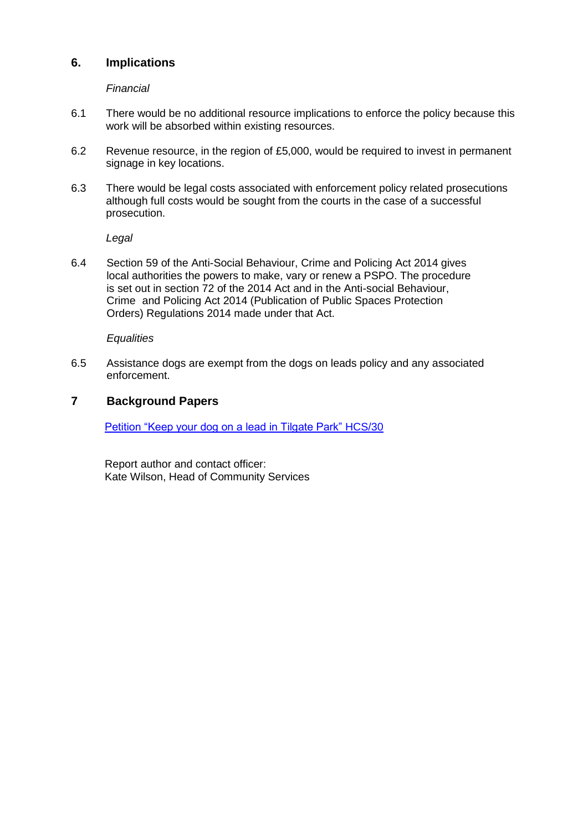## **6. Implications**

*Financial* 

- 6.1 There would be no additional resource implications to enforce the policy because this work will be absorbed within existing resources.
- 6.2 Revenue resource, in the region of £5,000, would be required to invest in permanent signage in key locations.
- 6.3 There would be legal costs associated with enforcement policy related prosecutions although full costs would be sought from the courts in the case of a successful prosecution.

*Legal*

6.4 Section 59 of the Anti-Social Behaviour, Crime and Policing Act 2014 gives local authorities the powers to make, vary or renew a PSPO. The procedure is set out in section 72 of the 2014 Act and in the Anti-social Behaviour, Crime and Policing Act 2014 (Publication of Public Spaces Protection Orders) Regulations 2014 made under that Act.

*Equalities*

6.5 Assistance dogs are exempt from the dogs on leads policy and any associated enforcement.

## **7 Background Papers**

[Petition "Keep your dog on a lead in Tilgate Park" HCS/30](https://democracy.crawley.gov.uk/documents/s18978/Petition%20Keep%20your%20dog%20on%20a%20lead%20in%20Tilgate%20Park.pdf)

Report author and contact officer: Kate Wilson, Head of Community Services